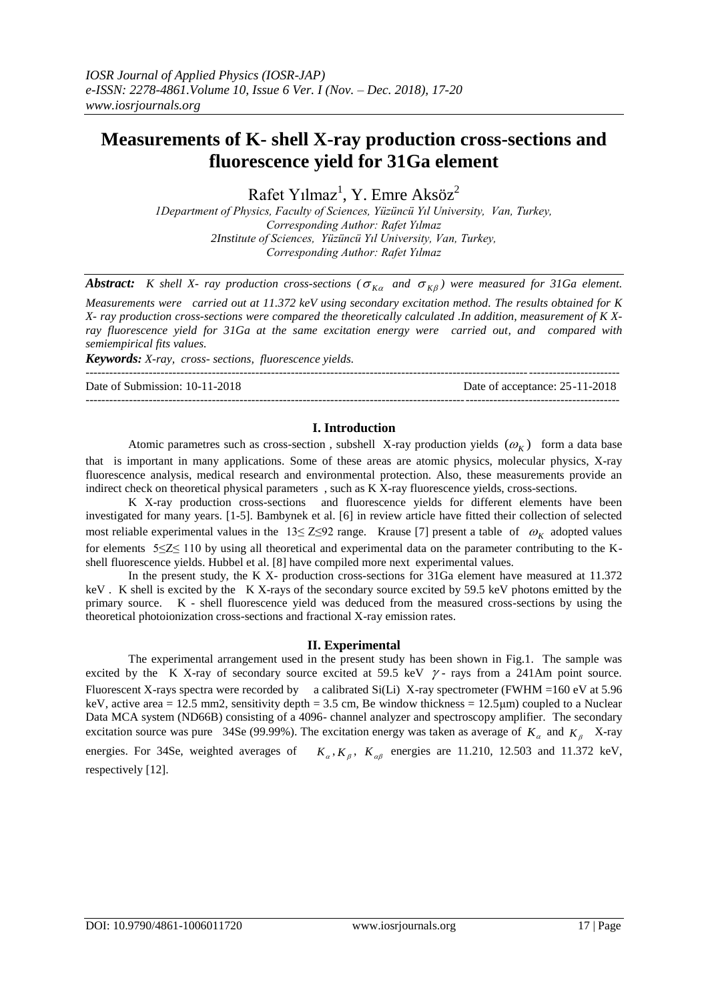---------------------------------------------------------------------------------------------------------------------------------------

# **Measurements of K- shell X-ray production cross-sections and fluorescence yield for 31Ga element**

Rafet Yılmaz<sup>1</sup>, Y. Emre Aksöz<sup>2</sup>

*1Department of Physics, Faculty of Sciences, Yüzüncü Yıl University, Van, Turkey, Corresponding Author: Rafet Yılmaz 2Institute of Sciences, Yüzüncü Yıl University, Van, Turkey, Corresponding Author: Rafet Yılmaz*

*Abstract:* K shell X- ray production cross-sections ( $\sigma_{K\alpha}$  and  $\sigma_{K\beta}$ ) were measured for 31Ga element.

*Measurements were carried out at 11.372 keV using secondary excitation method. The results obtained for K X- ray production cross-sections were compared the theoretically calculated .In addition, measurement of K Xray fluorescence yield for 31Ga at the same excitation energy were carried out, and compared with semiempirical fits values.*

*Keywords: X-ray, cross- sections, fluorescence yields.*

Date of Submission: 10-11-2018 Date of acceptance: 25-11-2018

# **I. Introduction**

---------------------------------------------------------------------------------------------------------------------------------------

Atomic parametres such as cross-section, subshell X-ray production yields  $(\omega_K)$  form a data base that is important in many applications. Some of these areas are atomic physics, molecular physics, X-ray fluorescence analysis, medical research and environmental protection. Also, these measurements provide an indirect check on theoretical physical parameters , such as K X-ray fluorescence yields, cross-sections.

K X-ray production cross-sections and fluorescence yields for different elements have been investigated for many years. [1-5]. Bambynek et al. [6] in review article have fitted their collection of selected most reliable experimental values in the  $13 \le Z \le 92$  range. Krause [7] present a table of  $\omega_K$  adopted values for elements 5≤Z≤ 110 by using all theoretical and experimental data on the parameter contributing to the Kshell fluorescence yields. Hubbel et al. [8] have compiled more next experimental values.

In the present study, the K X- production cross-sections for 31Ga element have measured at 11.372 keV . K shell is excited by the K X-rays of the secondary source excited by 59.5 keV photons emitted by the primary source. K - shell fluorescence yield was deduced from the measured cross-sections by using the theoretical photoionization cross-sections and fractional X-ray emission rates.

#### **II. Experimental**

The experimental arrangement used in the present study has been shown in Fig.1. The sample was excited by the K X-ray of secondary source excited at 59.5 keV  $\gamma$ -rays from a 241Am point source. Fluorescent X-rays spectra were recorded by a calibrated Si(Li) X-ray spectrometer (FWHM =160 eV at 5.96 keV, active area = 12.5 mm2, sensitivity depth = 3.5 cm, Be window thickness =  $12.5 \mu m$ ) coupled to a Nuclear Data MCA system (ND66B) consisting of a 4096- channel analyzer and spectroscopy amplifier. The secondary excitation source was pure 34Se (99.99%). The excitation energy was taken as average of  $K_a$  and  $K_\beta$  X-ray energies. For 34Se, weighted averages of  $K_{\alpha}$ ,  $K_{\beta}$ ,  $K_{\alpha\beta}$  energies are 11.210, 12.503 and 11.372 keV, respectively [12].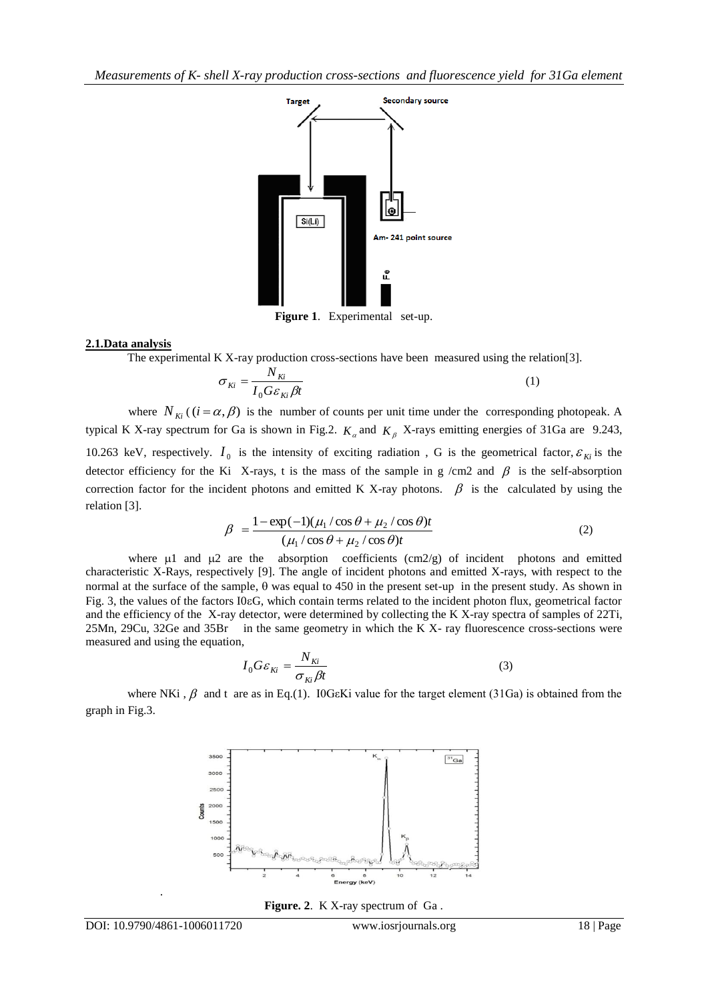*Measurements of K- shell X-ray production cross-sections and fluorescence yield for 31Ga element*



**Figure 1**. Experimental set-up.

## **2.1.Data analysis**

The experimental K X-ray production cross-sections have been measured using the relation[3].

$$
\sigma_{Ki} = \frac{N_{Ki}}{I_0 G \varepsilon_{Ki} \beta t} \tag{1}
$$

where  $N_{\overline{k}i}$  ( $(i = \alpha, \beta)$ ) is the number of counts per unit time under the corresponding photopeak. A typical K X-ray spectrum for Ga is shown in Fig.2.  $K_a$  and  $K_\beta$  X-rays emitting energies of 31Ga are 9.243, 10.263 keV, respectively.  $I_0$  is the intensity of exciting radiation, G is the geometrical factor,  $\varepsilon_{Ki}$  is the detector efficiency for the Ki X-rays, t is the mass of the sample in g /cm2 and  $\beta$  is the self-absorption correction factor for the incident photons and emitted K X-ray photons.  $\beta$  is the calculated by using the relation [3].

$$
\beta = \frac{1 - \exp(-1)(\mu_1/\cos\theta + \mu_2/\cos\theta)t}{(\mu_1/\cos\theta + \mu_2/\cos\theta)t}
$$
(2)

where  $\mu$ 1 and  $\mu$ 2 are the absorption coefficients (cm2/g) of incident photons and emitted characteristic X-Rays, respectively [9]. The angle of incident photons and emitted X-rays, with respect to the normal at the surface of the sample,  $\theta$  was equal to 450 in the present set-up in the present study. As shown in Fig. 3, the values of the factors I0G, which contain terms related to the incident photon flux, geometrical factor and the efficiency of the X-ray detector, were determined by collecting the K X-ray spectra of samples of 22Ti, 25Mn, 29Cu, 32Ge and 35Br in the same geometry in which the K X- ray fluorescence cross-sections were measured and using the equation,

$$
I_0 G \varepsilon_{ki} = \frac{N_{ki}}{\sigma_{ki} \beta t} \tag{3}
$$

where NKi,  $\beta$  and t are as in Eq.(1). IOG $\epsilon$ Ki value for the target element (31Ga) is obtained from the graph in Fig.3.



**Figure. 2**. K X-ray spectrum of Ga .

.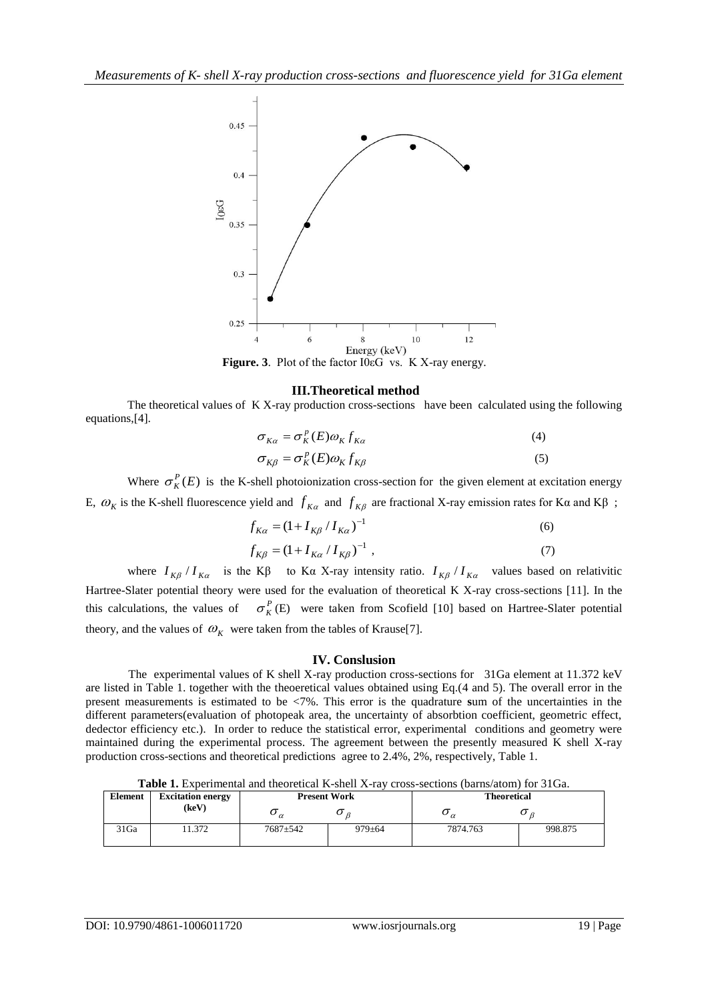

 **Figure. 3**. Plot of the factor I0εG vs. K X-ray energy.

## **III.Theoretical method**

The theoretical values of K X-ray production cross-sections have been calculated using the following equations,[4].

$$
\sigma_{K\alpha} = \sigma_K^p(E)\omega_K f_{K\alpha} \tag{4}
$$

$$
\sigma_{K\beta} = \sigma_K^p(E)\omega_K f_{K\beta} \tag{5}
$$

Where  $\sigma_K^P(E)$  is the K-shell photoionization cross-section for the given element at excitation energy E,  $ω$ <sub>K</sub> is the K-shell fluorescence yield and  $f$ <sub>Kα</sub> and  $f$ <sub>Kβ</sub> are fractional X-ray emission rates for Kα and Kβ;

$$
f_{K\alpha} = (1 + I_{K\beta} / I_{K\alpha})^{-1}
$$
 (6)

$$
f_{K\beta} = (1 + I_{K\alpha} / I_{K\beta})^{-1} \tag{7}
$$

where  $I_{K\beta} / I_{K\alpha}$  is the K $\beta$  to K $\alpha$  X-ray intensity ratio.  $I_{K\beta} / I_{K\alpha}$  values based on relativitic Hartree-Slater potential theory were used for the evaluation of theoretical K X-ray cross-sections [11]. In the this calculations, the values of  $\sigma_K^P(E)$  were taken from Scofield [10] based on Hartree-Slater potential theory, and the values of  $\omega_K$  were taken from the tables of Krause<sup>[7]</sup>.

## **IV. Conslusion**

The experimental values of K shell X-ray production cross-sections for 31Ga element at 11.372 keV are listed in Table 1. together with the theoeretical values obtained using Eq.(4 and 5). The overall error in the present measurements is estimated to be <7%. This error is the quadrature **s**um of the uncertainties in the different parameters(evaluation of photopeak area, the uncertainty of absorbtion coefficient, geometric effect, dedector efficiency etc.). In order to reduce the statistical error, experimental conditions and geometry were maintained during the experimental process. The agreement between the presently measured K shell X-ray production cross-sections and theoretical predictions agree to 2.4%, 2%, respectively, Table 1.

**Table 1.** Experimental and theoretical K-shell X-ray cross-sections (barns/atom) for 31Ga.

| <b>Element</b> | <b>Excitation energy</b> | <b>Present Work</b> |              | <b>Theoretical</b> |         |
|----------------|--------------------------|---------------------|--------------|--------------------|---------|
|                | (keV)                    | $\sigma_{\alpha}$   | Uρ           | $\alpha$           | ◡       |
| 31Ga           | 1.372                    | $7687 + 542$        | $979 \pm 64$ | 7874.763           | 998.875 |